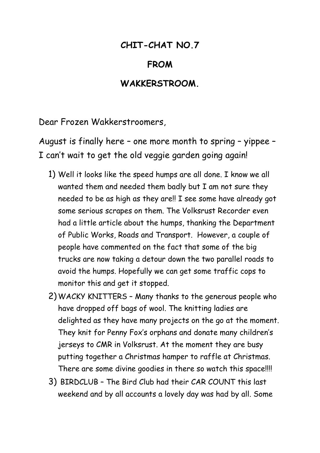## **CHIT-CHAT NO.7**

## **FROM**

## **WAKKERSTROOM.**

Dear Frozen Wakkerstroomers,

August is finally here – one more month to spring – yippee – I can't wait to get the old veggie garden going again!

- 1) Well it looks like the speed humps are all done. I know we all wanted them and needed them badly but I am not sure they needed to be as high as they are!! I see some have already got some serious scrapes on them. The Volksrust Recorder even had a little article about the humps, thanking the Department of Public Works, Roads and Transport. However, a couple of people have commented on the fact that some of the big trucks are now taking a detour down the two parallel roads to avoid the humps. Hopefully we can get some traffic cops to monitor this and get it stopped.
- 2) WACKY KNITTERS Many thanks to the generous people who have dropped off bags of wool. The knitting ladies are delighted as they have many projects on the go at the moment. They knit for Penny Fox's orphans and donate many children's jerseys to CMR in Volksrust. At the moment they are busy putting together a Christmas hamper to raffle at Christmas. There are some divine goodies in there so watch this space!!!!
- 3) BIRDCLUB The Bird Club had their CAR COUNT this last weekend and by all accounts a lovely day was had by all. Some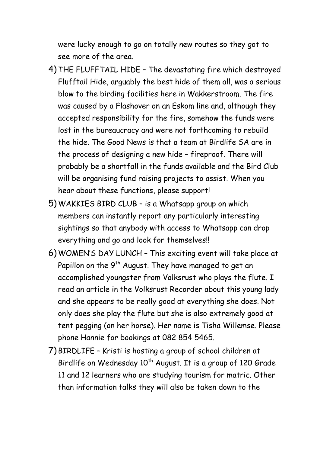were lucky enough to go on totally new routes so they got to see more of the area.

- 4) THE FLUFFTAIL HIDE The devastating fire which destroyed Flufftail Hide, arguably the best hide of them all, was a serious blow to the birding facilities here in Wakkerstroom. The fire was caused by a Flashover on an Eskom line and, although they accepted responsibility for the fire, somehow the funds were lost in the bureaucracy and were not forthcoming to rebuild the hide. The Good News is that a team at Birdlife SA are in the process of designing a new hide – fireproof. There will probably be a shortfall in the funds available and the Bird Club will be organising fund raising projects to assist. When you hear about these functions, please support!
- 5) WAKKIES BIRD CLUB is a Whatsapp group on which members can instantly report any particularly interesting sightings so that anybody with access to Whatsapp can drop everything and go and look for themselves!!
- 6) WOMEN'S DAY LUNCH This exciting event will take place at Papillon on the  $9<sup>th</sup>$  August. They have managed to get an accomplished youngster from Volksrust who plays the flute. I read an article in the Volksrust Recorder about this young lady and she appears to be really good at everything she does. Not only does she play the flute but she is also extremely good at tent pegging (on her horse). Her name is Tisha Willemse. Please phone Hannie for bookings at 082 854 5465.
- 7) BIRDLIFE Kristi is hosting a group of school children at Birdlife on Wednesday  $10^{th}$  August. It is a group of 120 Grade 11 and 12 learners who are studying tourism for matric. Other than information talks they will also be taken down to the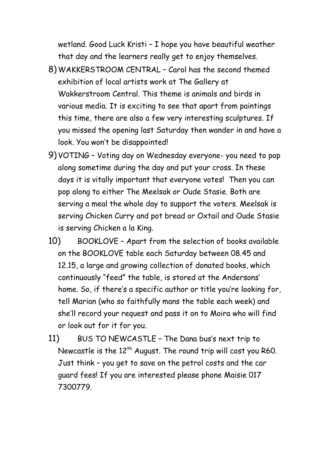wetland. Good Luck Kristi – I hope you have beautiful weather that day and the learners really get to enjoy themselves.

- 8) WAKKERSTROOM CENTRAL Carol has the second themed exhibition of local artists work at The Gallery at Wakkerstroom Central. This theme is animals and birds in various media. It is exciting to see that apart from paintings this time, there are also a few very interesting sculptures. If you missed the opening last Saturday then wander in and have a look. You won't be disappointed!
- 9) VOTING Voting day on Wednesday everyone- you need to pop along sometime during the day and put your cross. In these days it is vitally important that everyone votes! Then you can pop along to either The Meelsak or Oude Stasie. Both are serving a meal the whole day to support the voters. Meelsak is serving Chicken Curry and pot bread or Oxtail and Oude Stasie is serving Chicken a la King.
- 10) BOOKLOVE Apart from the selection of books available on the BOOKLOVE table each Saturday between 08.45 and 12.15, a large and growing collection of donated books, which continuously "feed" the table, is stored at the Andersons' home. So, if there's a specific author or title you're looking for, tell Marian (who so faithfully mans the table each week) and she'll record your request and pass it on to Moira who will find or look out for it for you.
- 11) BUS TO NEWCASTLE The Dana bus's next trip to Newcastle is the  $12<sup>th</sup>$  August. The round trip will cost you R60. Just think – you get to save on the petrol costs and the car guard fees! If you are interested please phone Maisie 017 7300779.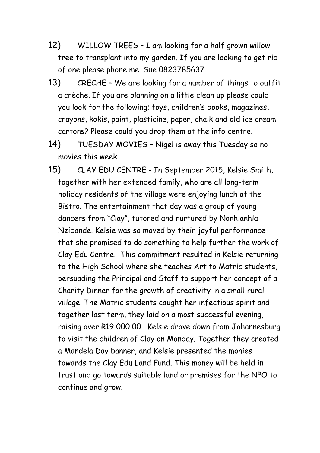- 12) WILLOW TREES I am looking for a half grown willow tree to transplant into my garden. If you are looking to get rid of one please phone me. Sue 0823785637
- 13) CRECHE We are looking for a number of things to outfit a crèche. If you are planning on a little clean up please could you look for the following; toys, children's books, magazines, crayons, kokis, paint, plasticine, paper, chalk and old ice cream cartons? Please could you drop them at the info centre.
- 14) TUESDAY MOVIES Nigel is away this Tuesday so no movies this week.
- 15) CLAY EDU CENTRE In September 2015, Kelsie Smith, together with her extended family, who are all long-term holiday residents of the village were enjoying lunch at the Bistro. The entertainment that day was a group of young dancers from "Clay", tutored and nurtured by Nonhlanhla Nzibande. Kelsie was so moved by their joyful performance that she promised to do something to help further the work of Clay Edu Centre. This commitment resulted in Kelsie returning to the High School where she teaches Art to Matric students, persuading the Principal and Staff to support her concept of a Charity Dinner for the growth of creativity in a small rural village. The Matric students caught her infectious spirit and together last term, they laid on a most successful evening, raising over R19 000,00. Kelsie drove down from Johannesburg to visit the children of Clay on Monday. Together they created a Mandela Day banner, and Kelsie presented the monies towards the Clay Edu Land Fund. This money will be held in trust and go towards suitable land or premises for the NPO to continue and grow.